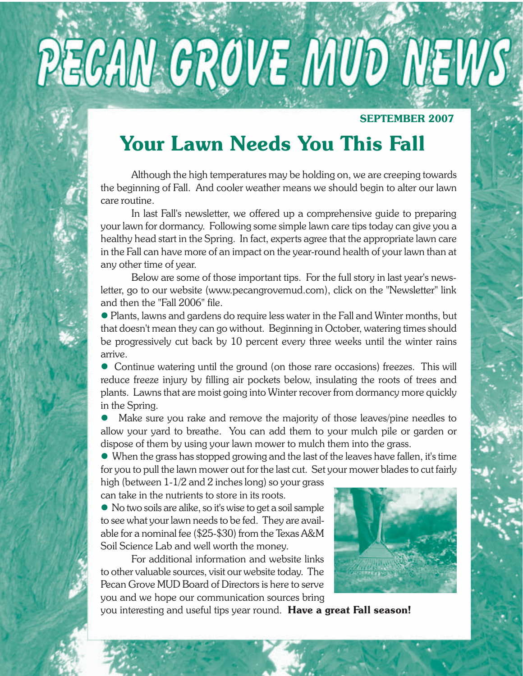# PECAN GROVE MUD NEWS

#### **SEPTEMBER 2007**

# **Your Lawn Needs You This Fall**

Although the high temperatures may be holding on, we are creeping towards the beginning of Fall. And cooler weather means we should begin to alter our lawn care routine.

In last Fall's newsletter, we offered up a comprehensive guide to preparing your lawn for dormancy. Following some simple lawn care tips today can give you a healthy head start in the Spring. In fact, experts agree that the appropriate lawn care in the Fall can have more of an impact on the year-round health of your lawn than at any other time of year.

Below are some of those important tips. For the full story in last year's newsletter, go to our website (www.pecangrovemud.com), click on the "Newsletter" link and then the "Fall 2006" file.

• Plants, lawns and gardens do require less water in the Fall and Winter months, but that doesn't mean they can go without. Beginning in October, watering times should be progressively cut back by 10 percent every three weeks until the winter rains arrive.

• Continue watering until the ground (on those rare occasions) freezes. This will reduce freeze injury by filling air pockets below, insulating the roots of trees and plants. Lawns that are moist going into Winter recover from dormancy more quickly in the Spring.

Make sure you rake and remove the majority of those leaves/pine needles to allow your yard to breathe. You can add them to your mulch pile or garden or dispose of them by using your lawn mower to mulch them into the grass.

 $\bullet$  When the grass has stopped growing and the last of the leaves have fallen, it's time for you to pull the lawn mower out for the last cut. Set your mower blades to cut fairly

high (between 1-1/2 and 2 inches long) so your grass can take in the nutrients to store in its roots.

 $\bullet$  No two soils are alike, so it's wise to get a soil sample to see what your lawn needs to be fed. They are available for a nominal fee (\$25-\$30) from the Texas A&M Soil Science Lab and well worth the money.

For additional information and website links to other valuable sources, visit our website today. The Pecan Grove MUD Board of Directors is here to serve you and we hope our communication sources bring



you interesting and useful tips year round. **Have a great Fall season!**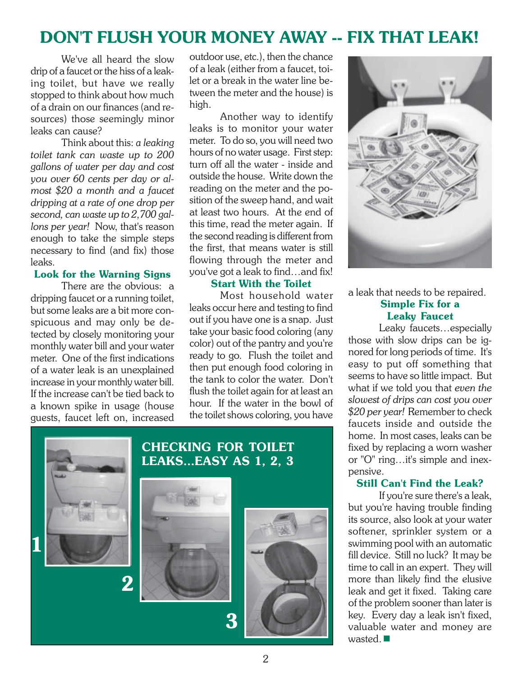## **DON'T FLUSH YOUR MONEY AWAY -- FIX THAT LEAK!**

We've all heard the slow drip of a faucet or the hiss of a leaking toilet, but have we really stopped to think about how much of a drain on our finances (and resources) those seemingly minor leaks can cause?

Think about this: *a leaking toilet tank can waste up to 200 gallons of water per day and cost you over 60 cents per day or almost \$20 a month and a faucet dripping at a rate of one drop per second, can waste up to 2,700 gallons per year!* Now, that's reason enough to take the simple steps necessary to find (and fix) those leaks.

#### **Look for the Warning Signs**

There are the obvious: a dripping faucet or a running toilet, but some leaks are a bit more conspicuous and may only be detected by closely monitoring your monthly water bill and your water meter. One of the first indications of a water leak is an unexplained increase in your monthly water bill. If the increase can't be tied back to a known spike in usage (house guests, faucet left on, increased

outdoor use, etc.), then the chance of a leak (either from a faucet, toilet or a break in the water line between the meter and the house) is high.

Another way to identify leaks is to monitor your water meter. To do so, you will need two hours of no water usage. First step: turn off all the water - inside and outside the house. Write down the reading on the meter and the position of the sweep hand, and wait at least two hours. At the end of this time, read the meter again. If the second reading is different from the first, that means water is still flowing through the meter and you've got a leak to find…and fix!

#### **Start With the Toilet**

Most household water leaks occur here and testing to find out if you have one is a snap. Just take your basic food coloring (any color) out of the pantry and you're ready to go. Flush the toilet and then put enough food coloring in the tank to color the water. Don't flush the toilet again for at least an hour. If the water in the bowl of the toilet shows coloring, you have







a leak that needs to be repaired.

#### **Simple Fix for a Leaky Faucet**

Leaky faucets…especially those with slow drips can be ignored for long periods of time. It's easy to put off something that seems to have so little impact. But what if we told you that *even the slowest of drips can cost you over \$20 per year!* Remember to check faucets inside and outside the home. In most cases, leaks can be fixed by replacing a worn washer or "O" ring…it's simple and inexpensive.

#### **Still Can't Find the Leak?**

If you're sure there's a leak, but you're having trouble finding its source, also look at your water softener, sprinkler system or a swimming pool with an automatic fill device. Still no luck? It may be time to call in an expert. They will more than likely find the elusive leak and get it fixed. Taking care of the problem sooner than later is key. Every day a leak isn't fixed, valuable water and money are wasted.  $\blacksquare$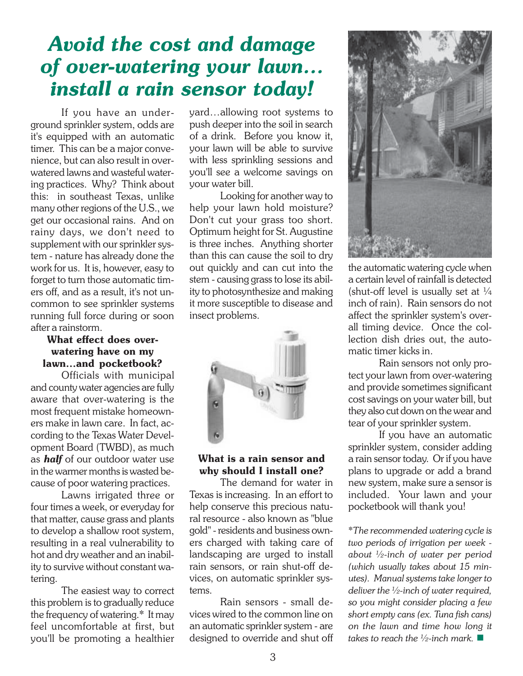# *Avoid the cost and damage of over-watering your lawn… install a rain sensor today!*

If you have an underground sprinkler system, odds are it's equipped with an automatic timer. This can be a major convenience, but can also result in overwatered lawns and wasteful watering practices. Why? Think about this: in southeast Texas, unlike many other regions of the U.S., we get our occasional rains. And on rainy days, we don't need to supplement with our sprinkler system - nature has already done the work for us. It is, however, easy to forget to turn those automatic timers off, and as a result, it's not uncommon to see sprinkler systems running full force during or soon after a rainstorm.

#### **What effect does overwatering have on my lawn…and pocketbook?**

Officials with municipal and county water agencies are fully aware that over-watering is the most frequent mistake homeowners make in lawn care. In fact, according to the Texas Water Development Board (TWBD), as much as *half* of our outdoor water use in the warmer months is wasted because of poor watering practices.

Lawns irrigated three or four times a week, or everyday for that matter, cause grass and plants to develop a shallow root system, resulting in a real vulnerability to hot and dry weather and an inability to survive without constant watering.

The easiest way to correct this problem is to gradually reduce the frequency of watering.\* It may feel uncomfortable at first, but you'll be promoting a healthier

yard…allowing root systems to push deeper into the soil in search of a drink. Before you know it, your lawn will be able to survive with less sprinkling sessions and you'll see a welcome savings on your water bill.

Looking for another way to help your lawn hold moisture? Don't cut your grass too short. Optimum height for St. Augustine is three inches. Anything shorter than this can cause the soil to dry out quickly and can cut into the stem - causing grass to lose its ability to photosynthesize and making it more susceptible to disease and insect problems.



#### **What is a rain sensor and why should I install one?**

The demand for water in Texas is increasing. In an effort to help conserve this precious natural resource - also known as "blue gold" - residents and business owners charged with taking care of landscaping are urged to install rain sensors, or rain shut-off devices, on automatic sprinkler systems.

Rain sensors - small devices wired to the common line on an automatic sprinkler system - are designed to override and shut off



the automatic watering cycle when a certain level of rainfall is detected (shut-off level is usually set at  $\frac{1}{4}$ inch of rain). Rain sensors do not affect the sprinkler system's overall timing device. Once the collection dish dries out, the automatic timer kicks in.

Rain sensors not only protect your lawn from over-watering and provide sometimes significant cost savings on your water bill, but they also cut down on the wear and tear of your sprinkler system.

If you have an automatic sprinkler system, consider adding a rain sensor today. Or if you have plans to upgrade or add a brand new system, make sure a sensor is included. Your lawn and your pocketbook will thank you!

\**The recommended watering cycle is two periods of irrigation per week about ½-inch of water per period (which usually takes about 15 minutes). Manual systems take longer to deliver the ½-inch of water required, so you might consider placing a few short empty cans (ex. Tuna fish cans) on the lawn and time how long it takes to reach the ½-inch mark.*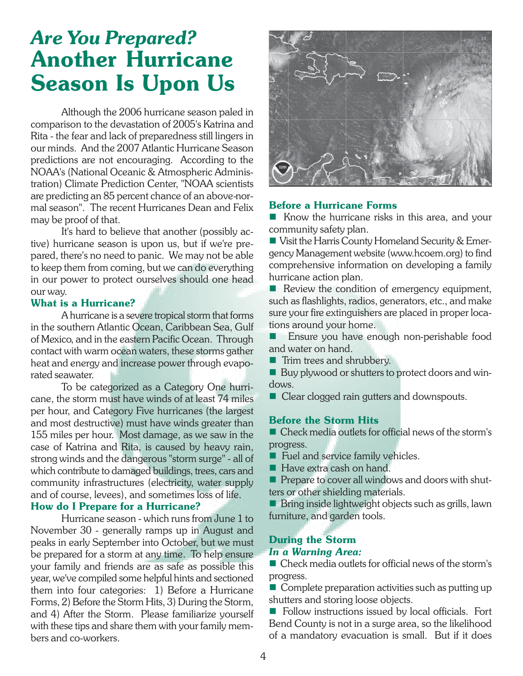# *Are You Prepared?* **Another Hurricane Season Is Upon Us**

Although the 2006 hurricane season paled in comparison to the devastation of 2005's Katrina and Rita - the fear and lack of preparedness still lingers in our minds. And the 2007 Atlantic Hurricane Season predictions are not encouraging. According to the NOAA's (National Oceanic & Atmospheric Administration) Climate Prediction Center, "NOAA scientists are predicting an 85 percent chance of an above-normal season". The recent Hurricanes Dean and Felix may be proof of that.

It's hard to believe that another (possibly active) hurricane season is upon us, but if we're prepared, there's no need to panic. We may not be able to keep them from coming, but we can do everything in our power to protect ourselves should one head our way.

#### **What is a Hurricane?**

A hurricane is a severe tropical storm that forms in the southern Atlantic Ocean, Caribbean Sea, Gulf of Mexico, and in the eastern Pacific Ocean. Through contact with warm ocean waters, these storms gather heat and energy and increase power through evaporated seawater.

To be categorized as a Category One hurricane, the storm must have winds of at least 74 miles per hour, and Category Five hurricanes (the largest and most destructive) must have winds greater than 155 miles per hour. Most damage, as we saw in the case of Katrina and Rita, is caused by heavy rain, strong winds and the dangerous "storm surge" - all of which contribute to damaged buildings, trees, cars and community infrastructures (electricity, water supply and of course, levees), and sometimes loss of life.

## **How do I Prepare for a Hurricane?**<br>Hurricane coason, which runs from

Hurricane season - which runs from June 1 to November 30 - generally ramps up in August and peaks in early September into October, but we must be prepared for a storm at any time. To help ensure your family and friends are as safe as possible this year, we've compiled some helpful hints and sectioned them into four categories: 1) Before a Hurricane Forms, 2) Before the Storm Hits, 3) During the Storm, and 4) After the Storm. Please familiarize yourself with these tips and share them with your family members and co-workers.



#### **Before a Hurricane Forms**

Know the hurricane risks in this area, and your community safety plan.

Uisit the Harris County Homeland Security & Emergency Management website (www.hcoem.org) to find comprehensive information on developing a family hurricane action plan.

 $\blacksquare$  Review the condition of emergency equipment, such as flashlights, radios, generators, etc., and make sure your fire extinguishers are placed in proper locations around your home.

 Ensure you have enough non-perishable food and water on hand.

**Trim trees and shrubbery.** 

Buy plywood or shutters to protect doors and windows.

■ Clear clogged rain gutters and downspouts.

#### **Before the Storm Hits**

■ Check media outlets for official news of the storm's progress.

Fuel and service family vehicles.

Have extra cash on hand.

**Prepare to cover all windows and doors with shut**ters or other shielding materials.

Bring inside lightweight objects such as grills, lawn furniture, and garden tools.

#### **During the Storm**

#### *In a Warning Area:*

■ Check media outlets for official news of the storm's progress.

 $\blacksquare$  Complete preparation activities such as putting up shutters and storing loose objects.

Follow instructions issued by local officials. Fort Bend County is not in a surge area, so the likelihood of a mandatory evacuation is small. But if it does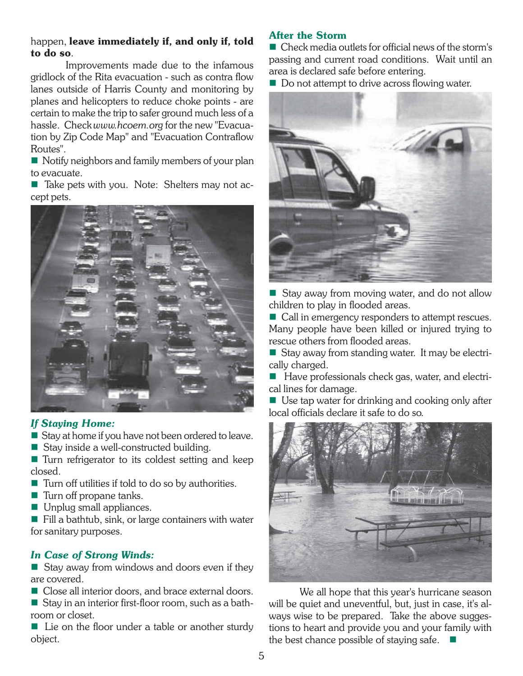#### happen, **leave immediately if, and only if, told to do so**.

 Improvements made due to the infamous gridlock of the Rita evacuation - such as contra flow lanes outside of Harris County and monitoring by planes and helicopters to reduce choke points - are certain to make the trip to safer ground much less of a hassle. Check *www.hcoem.org* for the new "Evacuation by Zip Code Map" and "Evacuation Contraflow Routes".

Notify neighbors and family members of your plan to evacuate.

■ Take pets with you. Note: Shelters may not accept pets.



#### *If Staying Home:*

Stay at home if you have not been ordered to leave.

Stay inside a well-constructed building.

■ Turn refrigerator to its coldest setting and keep closed.

- Turn off utilities if told to do so by authorities.
- $\blacksquare$  Turn off propane tanks.
- **Unplug small appliances.**

 $\blacksquare$  Fill a bathtub, sink, or large containers with water for sanitary purposes.

#### *In Case of Strong Winds:*

 $\blacksquare$  Stay away from windows and doors even if they are covered.

Close all interior doors, and brace external doors.

Stay in an interior first-floor room, such as a bathroom or closet.

 $\blacksquare$  Lie on the floor under a table or another sturdy object.

#### **After the Storm**

■ Check media outlets for official news of the storm's passing and current road conditions. Wait until an area is declared safe before entering.

Do not attempt to drive across flowing water.



Stay away from moving water, and do not allow children to play in flooded areas.

■ Call in emergency responders to attempt rescues. Many people have been killed or injured trying to rescue others from flooded areas.

Stay away from standing water. It may be electrically charged.

Have professionals check gas, water, and electrical lines for damage.

■ Use tap water for drinking and cooking only after local officials declare it safe to do so.



We all hope that this year's hurricane season will be quiet and uneventful, but, just in case, it's always wise to be prepared. Take the above suggestions to heart and provide you and your family with the best chance possible of staying safe.  $\blacksquare$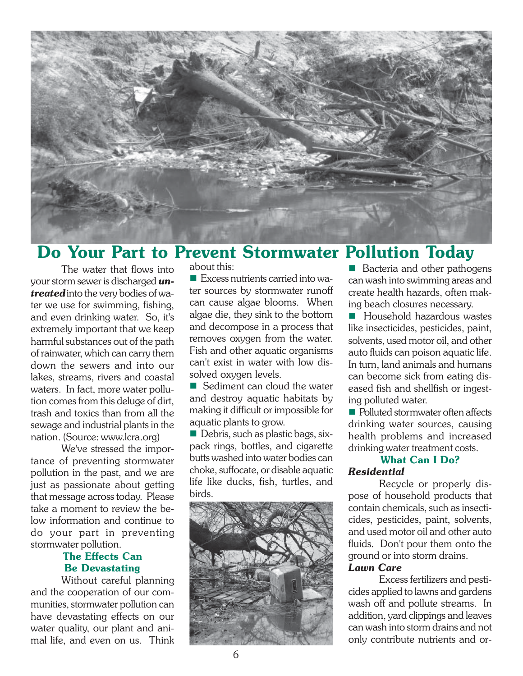

### **Do Your Part to Prevent Stormwater Pollution Today**

The water that flows into your storm sewer is discharged *untreated* into the very bodies of water we use for swimming, fishing, and even drinking water. So, it's extremely important that we keep harmful substances out of the path of rainwater, which can carry them down the sewers and into our lakes, streams, rivers and coastal waters. In fact, more water pollution comes from this deluge of dirt, trash and toxics than from all the sewage and industrial plants in the nation. (Source: www.lcra.org)

We've stressed the importance of preventing stormwater pollution in the past, and we are just as passionate about getting that message across today. Please take a moment to review the below information and continue to do your part in preventing stormwater pollution.

#### **The Effects Can Be Devastating**

Without careful planning and the cooperation of our communities, stormwater pollution can have devastating effects on our water quality, our plant and animal life, and even on us. Think about this:

 $\blacksquare$  Excess nutrients carried into water sources by stormwater runoff can cause algae blooms. When algae die, they sink to the bottom and decompose in a process that removes oxygen from the water. Fish and other aquatic organisms can't exist in water with low dissolved oxygen levels.

Sediment can cloud the water and destroy aquatic habitats by making it difficult or impossible for aquatic plants to grow.

Debris, such as plastic bags, sixpack rings, bottles, and cigarette butts washed into water bodies can choke, suffocate, or disable aquatic life like ducks, fish, turtles, and birds.



Bacteria and other pathogens can wash into swimming areas and create health hazards, often making beach closures necessary.

**Household hazardous wastes** like insecticides, pesticides, paint, solvents, used motor oil, and other auto fluids can poison aquatic life. In turn, land animals and humans can become sick from eating diseased fish and shellfish or ingesting polluted water.

■ Polluted stormwater often affects drinking water sources, causing health problems and increased drinking water treatment costs.

#### **What Can I Do?**

#### *Residential*

Recycle or properly dispose of household products that contain chemicals, such as insecticides, pesticides, paint, solvents, and used motor oil and other auto fluids. Don't pour them onto the ground or into storm drains.

#### *Lawn Care*

Excess fertilizers and pesticides applied to lawns and gardens wash off and pollute streams. In addition, yard clippings and leaves can wash into storm drains and not only contribute nutrients and or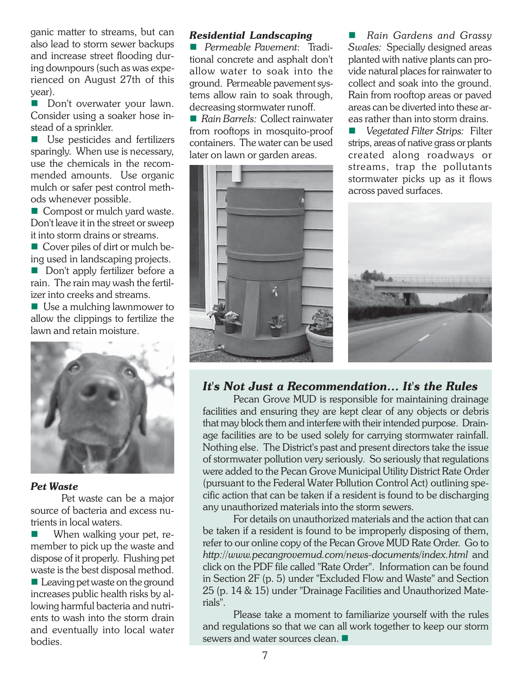ganic matter to streams, but can also lead to storm sewer backups and increase street flooding during downpours (such as was experienced on August 27th of this year).

Don't overwater your lawn. Consider using a soaker hose instead of a sprinkler.

■ Use pesticides and fertilizers sparingly. When use is necessary, use the chemicals in the recommended amounts. Use organic mulch or safer pest control methods whenever possible.

Compost or mulch yard waste. Don't leave it in the street or sweep it into storm drains or streams.

■ Cover piles of dirt or mulch being used in landscaping projects.

Don't apply fertilizer before a rain. The rain may wash the fertilizer into creeks and streams.

■ Use a mulching lawnmower to allow the clippings to fertilize the lawn and retain moisture.



#### *Pet Waste*

Pet waste can be a major source of bacteria and excess nutrients in local waters.

 When walking your pet, remember to pick up the waste and dispose of it properly. Flushing pet waste is the best disposal method.

Leaving pet waste on the ground increases public health risks by allowing harmful bacteria and nutrients to wash into the storm drain and eventually into local water bodies.

#### *Residential Landscaping*

 *Permeable Pavement*: Traditional concrete and asphalt don't allow water to soak into the ground. Permeable pavement systems allow rain to soak through, decreasing stormwater runoff.

■ *Rain Barrels:* Collect rainwater from rooftops in mosquito-proof containers. The water can be used later on lawn or garden areas.



 *Rain Gardens and Grassy Swales:* Specially designed areas planted with native plants can provide natural places for rainwater to collect and soak into the ground. Rain from rooftop areas or paved areas can be diverted into these areas rather than into storm drains.

 *Vegetated Filter Strips:* Filter strips, areas of native grass or plants created along roadways or streams, trap the pollutants stormwater picks up as it flows across paved surfaces.



#### *It's Not Just a Recommendation… It's the Rules*

Pecan Grove MUD is responsible for maintaining drainage facilities and ensuring they are kept clear of any objects or debris that may block them and interfere with their intended purpose. Drainage facilities are to be used solely for carrying stormwater rainfall. Nothing else. The District's past and present directors take the issue of stormwater pollution very seriously. So seriously that regulations were added to the Pecan Grove Municipal Utility District Rate Order (pursuant to the Federal Water Pollution Control Act) outlining specific action that can be taken if a resident is found to be discharging any unauthorized materials into the storm sewers.

For details on unauthorized materials and the action that can be taken if a resident is found to be improperly disposing of them, refer to our online copy of the Pecan Grove MUD Rate Order. Go to *http://www.pecangrovemud.com/news-documents/index.html* and click on the PDF file called "Rate Order". Information can be found in Section 2F (p. 5) under "Excluded Flow and Waste" and Section 25 (p. 14 & 15) under "Drainage Facilities and Unauthorized Materials".

Please take a moment to familiarize yourself with the rules and regulations so that we can all work together to keep our storm sewers and water sources clean.